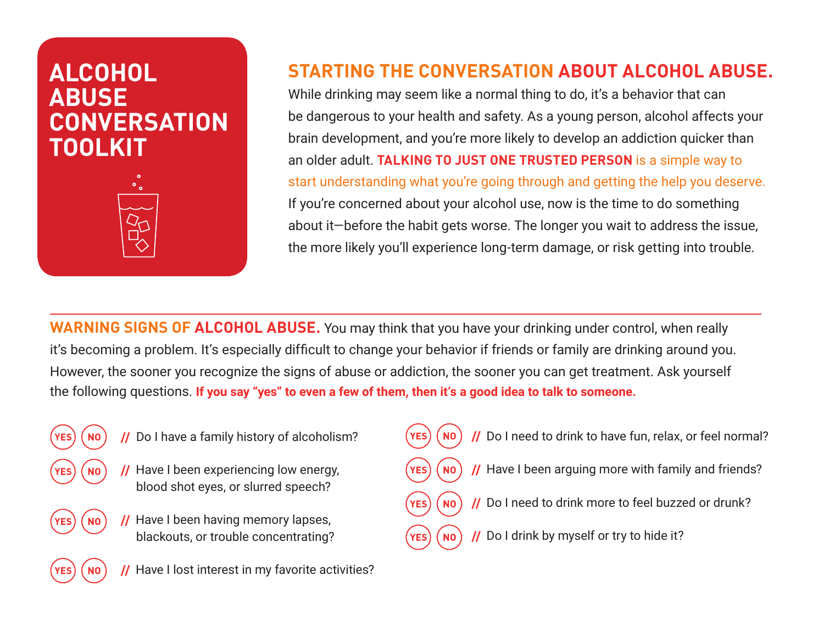# **ALCOHOL ABUSE CONVERSATION TOOLKIT**



### **STARTING THE CONVERSATION ABOUT ALCOHOL ABUSE.**

While drinking may seem like a normal thing to do, it's a behavior that can be dangerous to your health and safety. As a young person, alcohol affects your brain development, and you're more likely to develop an addiction quicker than an older adult. **TALKING TO JUST ONE TRUSTED PERSON** is a simple way to start understanding what you're going through and getting the help you deserve. If you're concerned about your alcohol use, now is the time to do something about it—before the habit gets worse. The longer you wait to address the issue, the more likely you'll experience long-term damage, or risk getting into trouble.

**WARNING SIGNS OF ALCOHOL ABUSE.** You may think that you have your drinking under control, when really it's becoming a problem. It's especially difficult to change your behavior if friends or family are drinking around you. However, the sooner you recognize the signs of abuse or addiction, the sooner you can get treatment. Ask yourself the following questions. **If you say "yes" to even a few of them, then it's a good idea to talk to someone.**

- - **//** Do I have a family history of alcoholism?
	- **//** Have I been experiencing low energy, blood shot eyes, or slurred speech?
	- **//** Have I been having memory lapses, blackouts, or trouble concentrating?
- **//** Do I need to drink to have fun, relax, or feel normal? **//** Have I been arguing more with family and friends? **//** Do I need to drink more to feel buzzed or drunk?
	- **//** Do I drink by myself or try to hide it?
- **//** Have I lost interest in my favorite activities?